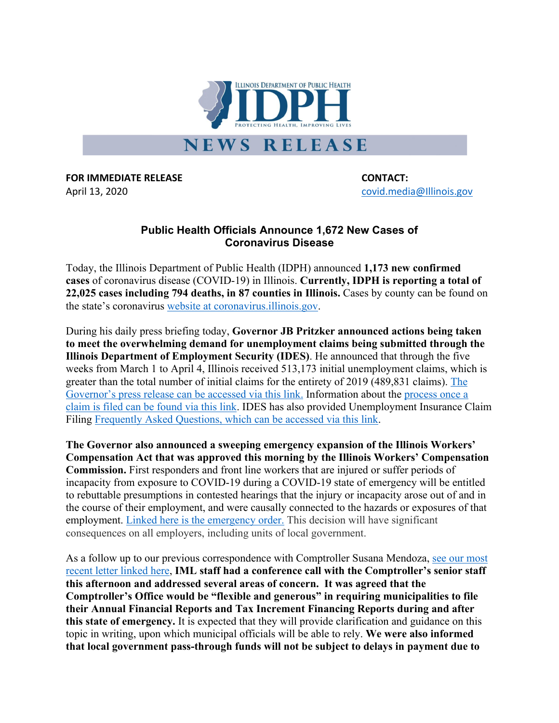

**FOR IMMEDIATE RELEASE CONTACT:** April 13, 2020 **and 2018** covid.media@Illinois.gov

## **Public Health Officials Announce 1,672 New Cases of Coronavirus Disease**

Today, the Illinois Department of Public Health (IDPH) announced **1,173 new confirmed cases** of coronavirus disease (COVID-19) in Illinois. **Currently, IDPH is reporting a total of 22,025 cases including 794 deaths, in 87 counties in Illinois.** Cases by county can be found on the state's coronavirus website at coronavirus.illinois.gov.

During his daily press briefing today, **Governor JB Pritzker announced actions being taken to meet the overwhelming demand for unemployment claims being submitted through the Illinois Department of Employment Security (IDES)**. He announced that through the five weeks from March 1 to April 4, Illinois received 513,173 initial unemployment claims, which is greater than the total number of initial claims for the entirety of 2019 (489,831 claims). The Governor's press release can be accessed via this link. Information about the process once a claim is filed can be found via this link. IDES has also provided Unemployment Insurance Claim Filing Frequently Asked Questions, which can be accessed via this link.

**The Governor also announced a sweeping emergency expansion of the Illinois Workers' Compensation Act that was approved this morning by the Illinois Workers' Compensation Commission.** First responders and front line workers that are injured or suffer periods of incapacity from exposure to COVID-19 during a COVID-19 state of emergency will be entitled to rebuttable presumptions in contested hearings that the injury or incapacity arose out of and in the course of their employment, and were causally connected to the hazards or exposures of that employment. Linked here is the emergency order. This decision will have significant consequences on all employers, including units of local government.

As a follow up to our previous correspondence with Comptroller Susana Mendoza, see our most recent letter linked here, **IML staff had a conference call with the Comptroller's senior staff this afternoon and addressed several areas of concern. It was agreed that the Comptroller's Office would be "flexible and generous" in requiring municipalities to file their Annual Financial Reports and Tax Increment Financing Reports during and after this state of emergency.** It is expected that they will provide clarification and guidance on this topic in writing, upon which municipal officials will be able to rely. **We were also informed that local government pass-through funds will not be subject to delays in payment due to**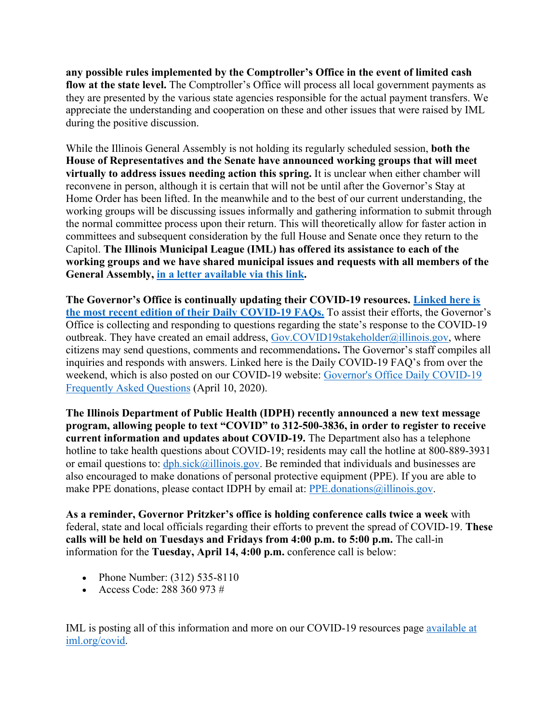**any possible rules implemented by the Comptroller's Office in the event of limited cash flow at the state level.** The Comptroller's Office will process all local government payments as they are presented by the various state agencies responsible for the actual payment transfers. We appreciate the understanding and cooperation on these and other issues that were raised by IML during the positive discussion.

While the Illinois General Assembly is not holding its regularly scheduled session, **both the House of Representatives and the Senate have announced working groups that will meet virtually to address issues needing action this spring.** It is unclear when either chamber will reconvene in person, although it is certain that will not be until after the Governor's Stay at Home Order has been lifted. In the meanwhile and to the best of our current understanding, the working groups will be discussing issues informally and gathering information to submit through the normal committee process upon their return. This will theoretically allow for faster action in committees and subsequent consideration by the full House and Senate once they return to the Capitol. **The Illinois Municipal League (IML) has offered its assistance to each of the working groups and we have shared municipal issues and requests with all members of the General Assembly, in a letter available via this link.**

**The Governor's Office is continually updating their COVID-19 resources. Linked here is the most recent edition of their Daily COVID-19 FAQs.** To assist their efforts, the Governor's Office is collecting and responding to questions regarding the state's response to the COVID-19 outbreak. They have created an email address, Gov.COVID19stakeholder@illinois.gov, where citizens may send questions, comments and recommendations**.** The Governor's staff compiles all inquiries and responds with answers. Linked here is the Daily COVID-19 FAQ's from over the weekend, which is also posted on our COVID-19 website: Governor's Office Daily COVID-19 Frequently Asked Questions (April 10, 2020).

**The Illinois Department of Public Health (IDPH) recently announced a new text message program, allowing people to text "COVID" to 312-500-3836, in order to register to receive current information and updates about COVID-19.** The Department also has a telephone hotline to take health questions about COVID-19; residents may call the hotline at 800-889-3931 or email questions to:  $dph.sick@illinois.gov$ . Be reminded that individuals and businesses are also encouraged to make donations of personal protective equipment (PPE). If you are able to make PPE donations, please contact IDPH by email at: PPE donations@illinois.gov.

**As a reminder, Governor Pritzker's office is holding conference calls twice a week** with federal, state and local officials regarding their efforts to prevent the spread of COVID-19. **These calls will be held on Tuesdays and Fridays from 4:00 p.m. to 5:00 p.m.** The call-in information for the **Tuesday, April 14, 4:00 p.m.** conference call is below:

- Phone Number: (312) 535-8110
- Access Code: 288 360 973 #

IML is posting all of this information and more on our COVID-19 resources page available at iml.org/covid.